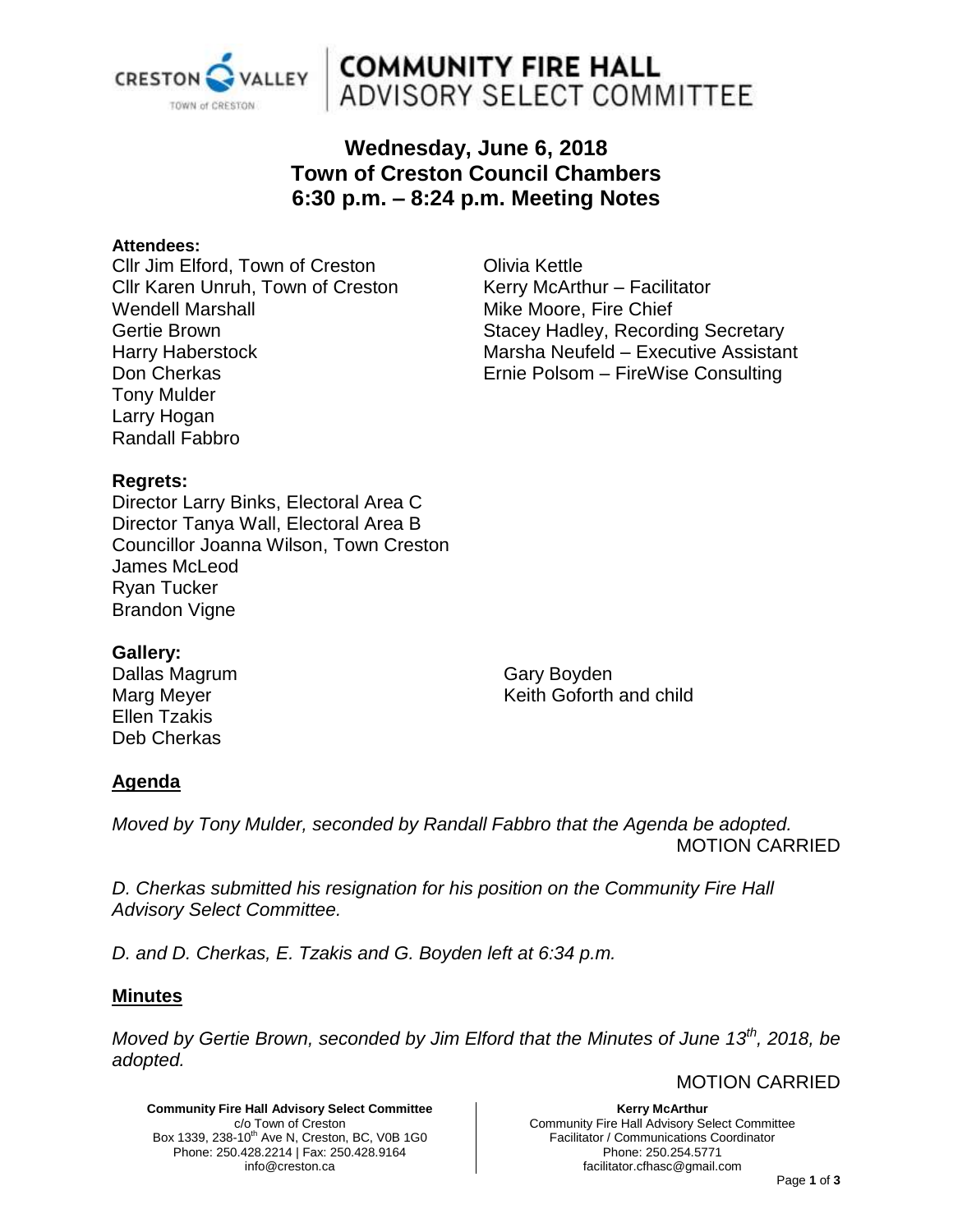

# **COMMUNITY FIRE HALL**<br>ADVISORY SELECT COMMITTEE

# **Wednesday, June 6, 2018 Town of Creston Council Chambers 6:30 p.m. – 8:24 p.m. Meeting Notes**

#### **Attendees:**

Cllr Jim Elford, Town of Creston Cllr Karen Unruh, Town of Creston Wendell Marshall Gertie Brown Harry Haberstock Don Cherkas Tony Mulder Larry Hogan Randall Fabbro

Olivia Kettle Kerry McArthur – Facilitator Mike Moore, Fire Chief Stacey Hadley, Recording Secretary Marsha Neufeld – Executive Assistant Ernie Polsom – FireWise Consulting

# **Regrets:**

Director Larry Binks, Electoral Area C Director Tanya Wall, Electoral Area B Councillor Joanna Wilson, Town Creston James McLeod Ryan Tucker Brandon Vigne

# **Gallery:**

Dallas Magrum Marg Meyer Ellen Tzakis Deb Cherkas

Gary Boyden Keith Goforth and child

# **Agenda**

*Moved by Tony Mulder, seconded by Randall Fabbro that the Agenda be adopted.* MOTION CARRIED

*D. Cherkas submitted his resignation for his position on the Community Fire Hall Advisory Select Committee.*

*D. and D. Cherkas, E. Tzakis and G. Boyden left at 6:34 p.m.*

# **Minutes**

*Moved by Gertie Brown, seconded by Jim Elford that the Minutes of June 13th, 2018, be adopted.* 

MOTION CARRIED

**Community Fire Hall Advisory Select Committee** c/o Town of Creston Box 1339, 238-10<sup>th</sup> Ave N, Creston, BC, V0B 1G0 Phone: 250.428.2214 | Fax: 250.428.9164 info@creston.ca

**Kerry McArthur** Community Fire Hall Advisory Select Committee Facilitator / Communications Coordinator Phone: 250.254.5771 facilitator.cfhasc@gmail.com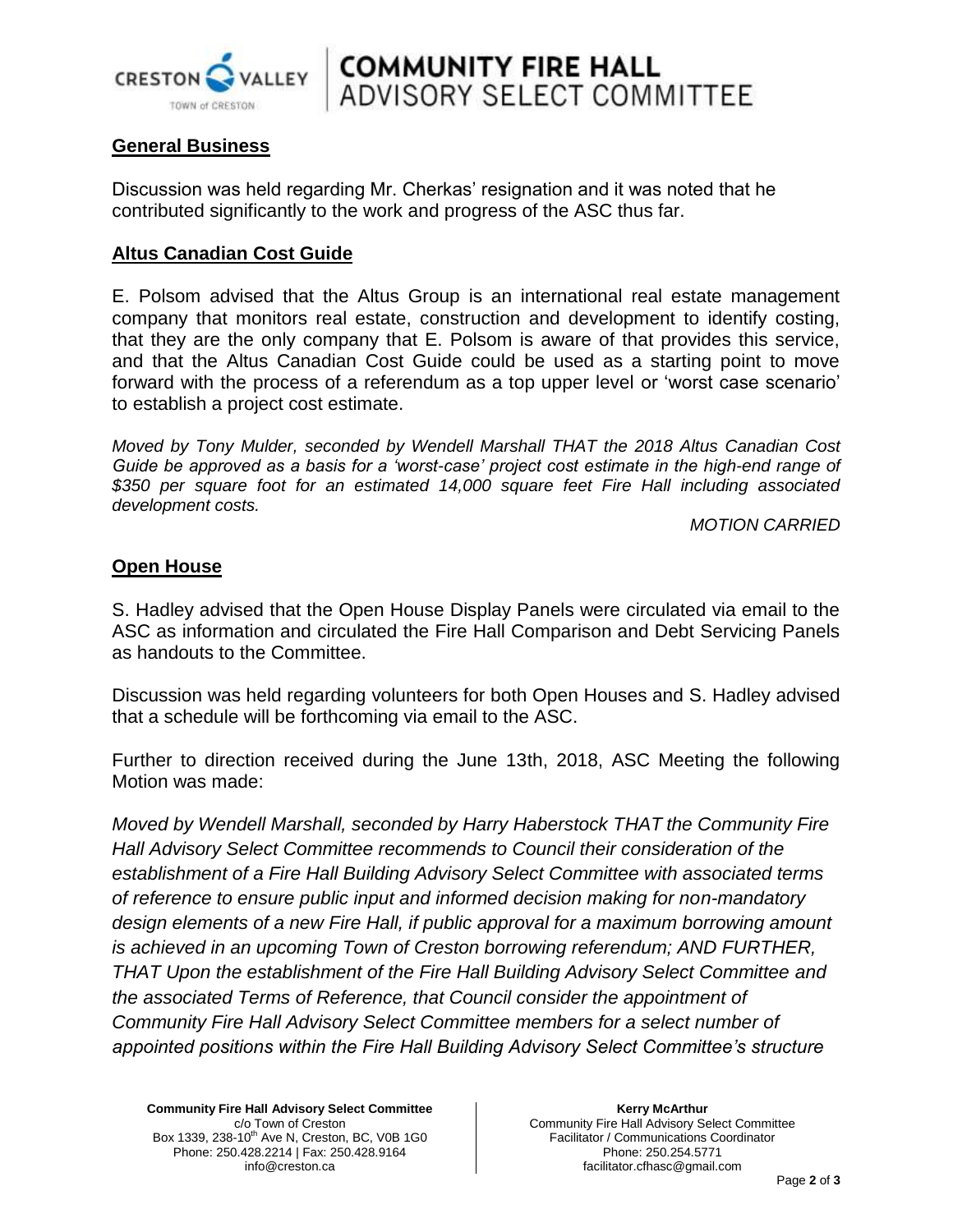

# **COMMUNITY FIRE HALL**<br>ADVISORY SELECT COMMITTEE

# **General Business**

Discussion was held regarding Mr. Cherkas' resignation and it was noted that he contributed significantly to the work and progress of the ASC thus far.

# **Altus Canadian Cost Guide**

E. Polsom advised that the Altus Group is an international real estate management company that monitors real estate, construction and development to identify costing, that they are the only company that E. Polsom is aware of that provides this service, and that the Altus Canadian Cost Guide could be used as a starting point to move forward with the process of a referendum as a top upper level or 'worst case scenario' to establish a project cost estimate.

*Moved by Tony Mulder, seconded by Wendell Marshall THAT the 2018 Altus Canadian Cost Guide be approved as a basis for a 'worst-case' project cost estimate in the high-end range of \$350 per square foot for an estimated 14,000 square feet Fire Hall including associated development costs.*

*MOTION CARRIED*

# **Open House**

S. Hadley advised that the Open House Display Panels were circulated via email to the ASC as information and circulated the Fire Hall Comparison and Debt Servicing Panels as handouts to the Committee.

Discussion was held regarding volunteers for both Open Houses and S. Hadley advised that a schedule will be forthcoming via email to the ASC.

Further to direction received during the June 13th, 2018, ASC Meeting the following Motion was made:

*Moved by Wendell Marshall, seconded by Harry Haberstock THAT the Community Fire Hall Advisory Select Committee recommends to Council their consideration of the establishment of a Fire Hall Building Advisory Select Committee with associated terms of reference to ensure public input and informed decision making for non-mandatory design elements of a new Fire Hall, if public approval for a maximum borrowing amount is achieved in an upcoming Town of Creston borrowing referendum; AND FURTHER, THAT Upon the establishment of the Fire Hall Building Advisory Select Committee and the associated Terms of Reference, that Council consider the appointment of Community Fire Hall Advisory Select Committee members for a select number of appointed positions within the Fire Hall Building Advisory Select Committee's structure* 

**Community Fire Hall Advisory Select Committee** c/o Town of Creston Box 1339, 238-10<sup>th</sup> Ave N, Creston, BC, V0B 1G0 Phone: 250.428.2214 | Fax: 250.428.9164 info@creston.ca

#### **Kerry McArthur**

Community Fire Hall Advisory Select Committee Facilitator / Communications Coordinator Phone: 250.254.5771 facilitator.cfhasc@gmail.com